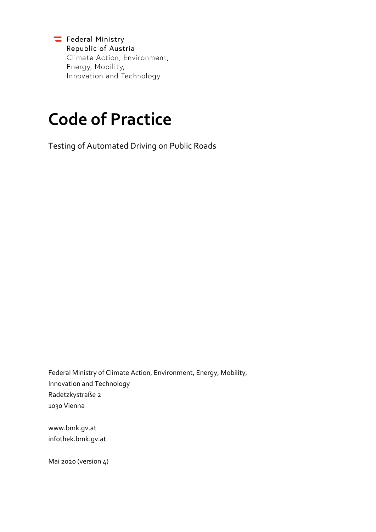Federal Ministry Republic of Austria Climate Action, Environment, Energy, Mobility, Innovation and Technology

# **Code of Practice**

Testing of Automated Driving on Public Roads

Federal Ministry of Climate Action, Environment, Energy, Mobility, Innovation and Technology Radetzkystraße 2 1030 Vienna

www.bmk.gv.at infothek.bmk.gv.at

Mai 2020 (version 4)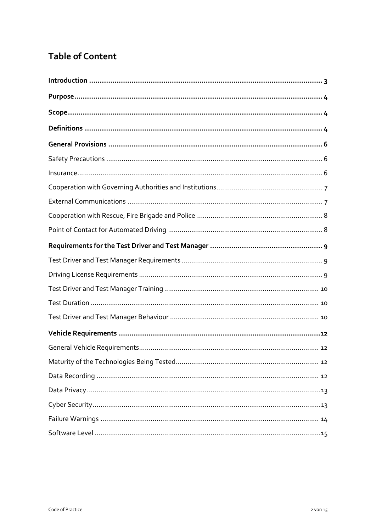# **Table of Content**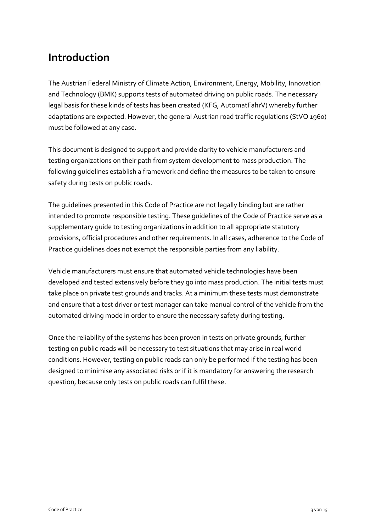# <span id="page-2-0"></span>**Introduction**

The Austrian Federal Ministry of Climate Action, Environment, Energy, Mobility, Innovation and Technology (BMK) supports tests of automated driving on public roads. The necessary legal basis for these kinds of tests has been created (KFG, AutomatFahrV) whereby further adaptations are expected. However, the general Austrian road traffic regulations (StVO 1960) must be followed at any case.

This document is designed to support and provide clarity to vehicle manufacturers and testing organizations on their path from system development to mass production. The following guidelines establish a framework and define the measures to be taken to ensure safety during tests on public roads.

The guidelines presented in this Code of Practice are not legally binding but are rather intended to promote responsible testing. These guidelines of the Code of Practice serve as a supplementary guide to testing organizations in addition to all appropriate statutory provisions, official procedures and other requirements. In all cases, adherence to the Code of Practice guidelines does not exempt the responsible parties from any liability.

Vehicle manufacturers must ensure that automated vehicle technologies have been developed and tested extensively before they go into mass production. The initial tests must take place on private test grounds and tracks. At a minimum these tests must demonstrate and ensure that a test driver or test manager can take manual control of the vehicle from the automated driving mode in order to ensure the necessary safety during testing.

Once the reliability of the systems has been proven in tests on private grounds, further testing on public roads will be necessary to test situations that may arise in real world conditions. However, testing on public roads can only be performed if the testing has been designed to minimise any associated risks or if it is mandatory for answering the research question, because only tests on public roads can fulfil these.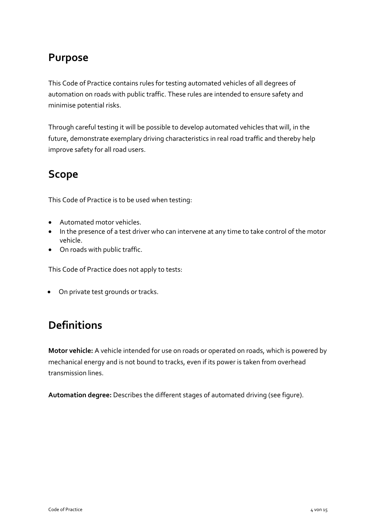# <span id="page-3-0"></span>**Purpose**

This Code of Practice contains rules for testing automated vehicles of all degrees of automation on roads with public traffic. These rules are intended to ensure safety and minimise potential risks.

Through careful testing it will be possible to develop automated vehicles that will, in the future, demonstrate exemplary driving characteristics in real road traffic and thereby help improve safety for all road users.

# <span id="page-3-1"></span>**Scope**

This Code of Practice is to be used when testing:

- Automated motor vehicles.
- In the presence of a test driver who can intervene at any time to take control of the motor vehicle.
- On roads with public traffic.

This Code of Practice does not apply to tests:

On private test grounds or tracks.

# <span id="page-3-2"></span>**Definitions**

**Motor vehicle:** A vehicle intended for use on roads or operated on roads, which is powered by mechanical energy and is not bound to tracks, even if its power is taken from overhead transmission lines.

**Automation degree:** Describes the different stages of automated driving (see figure).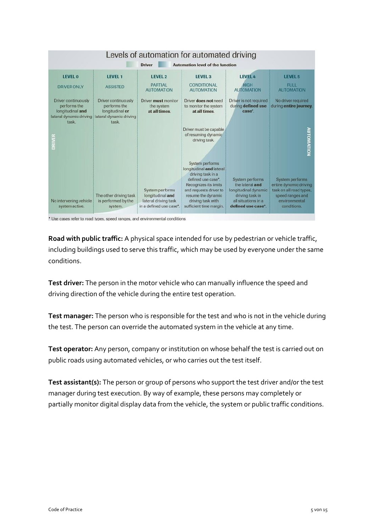

\* Use cases refer to road types, speed ranges, and environmental conditions

**Road with public traffic:** A physical space intended for use by pedestrian or vehicle traffic, including buildings used to serve this traffic, which may be used by everyone under the same conditions.

**Test driver:** The person in the motor vehicle who can manually influence the speed and driving direction of the vehicle during the entire test operation.

**Test manager:** The person who is responsible for the test and who is not in the vehicle during the test. The person can override the automated system in the vehicle at any time.

**Test operator:** Any person, company or institution on whose behalf the test is carried out on public roads using automated vehicles, or who carries out the test itself.

**Test assistant(s):** The person or group of persons who support the test driver and/or the test manager during test execution. By way of example, these persons may completely or partially monitor digital display data from the vehicle, the system or public traffic conditions.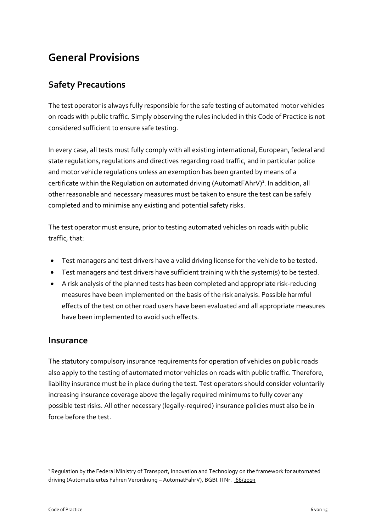# <span id="page-5-0"></span>**General Provisions**

### <span id="page-5-1"></span>**Safety Precautions**

The test operator is always fully responsible for the safe testing of automated motor vehicles on roads with public traffic. Simply observing the rules included in this Code of Practice is not considered sufficient to ensure safe testing.

In every case, all tests must fully comply with all existing international, European, federal and state regulations, regulations and directives regarding road traffic, and in particular police and motor vehicle regulations unless an exemption has been granted by means of a certificate within the Regulation on automated driving (AutomatFAhrV)<sup>1</sup>. In addition, all other reasonable and necessary measures must be taken to ensure the test can be safely completed and to minimise any existing and potential safety risks.

The test operator must ensure, prior to testing automated vehicles on roads with public traffic, that:

- Test managers and test drivers have a valid driving license for the vehicle to be tested.
- Test managers and test drivers have sufficient training with the system(s) to be tested.
- A risk analysis of the planned tests has been completed and appropriate risk-reducing measures have been implemented on the basis of the risk analysis. Possible harmful effects of the test on other road users have been evaluated and all appropriate measures have been implemented to avoid such effects.

#### <span id="page-5-2"></span>**Insurance**

The statutory compulsory insurance requirements for operation of vehicles on public roads also apply to the testing of automated motor vehicles on roads with public traffic. Therefore, liability insurance must be in place during the test. Test operators should consider voluntarily increasing insurance coverage above the legally required minimums to fully cover any possible test risks. All other necessary (legally-required) insurance policies must also be in force before the test.

<u>.</u>

<sup>&</sup>lt;sup>1</sup> Regulation by the Federal Ministry of Transport, Innovation and Technology on the framework for automated driving (Automatisiertes Fahren Verordnung – AutomatFahrV), BGBI. II Nr. [66/2019](https://www.ris.bka.gv.at/eli/bgbl/II/2019/66)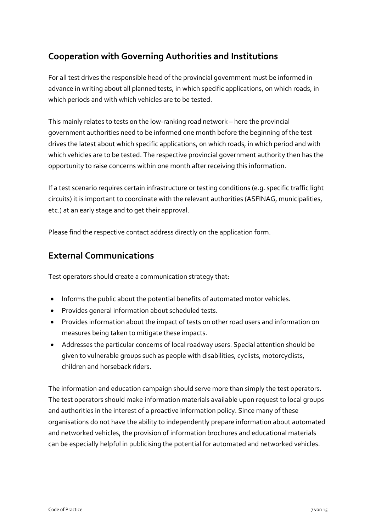### <span id="page-6-0"></span>**Cooperation with Governing Authorities and Institutions**

For all test drives the responsible head of the provincial government must be informed in advance in writing about all planned tests, in which specific applications, on which roads, in which periods and with which vehicles are to be tested.

This mainly relates to tests on the low-ranking road network – here the provincial government authorities need to be informed one month before the beginning of the test drives the latest about which specific applications, on which roads, in which period and with which vehicles are to be tested. The respective provincial government authority then has the opportunity to raise concerns within one month after receiving this information.

If a test scenario requires certain infrastructure or testing conditions (e.g. specific traffic light circuits) it is important to coordinate with the relevant authorities (ASFINAG, municipalities, etc.) at an early stage and to get their approval.

Please find the respective contact address directly on the application form.

#### <span id="page-6-1"></span>**External Communications**

Test operators should create a communication strategy that:

- Informs the public about the potential benefits of automated motor vehicles.
- Provides general information about scheduled tests.
- Provides information about the impact of tests on other road users and information on measures being taken to mitigate these impacts.
- Addresses the particular concerns of local roadway users. Special attention should be given to vulnerable groups such as people with disabilities, cyclists, motorcyclists, children and horseback riders.

The information and education campaign should serve more than simply the test operators. The test operators should make information materials available upon request to local groups and authorities in the interest of a proactive information policy. Since many of these organisations do not have the ability to independently prepare information about automated and networked vehicles, the provision of information brochures and educational materials can be especially helpful in publicising the potential for automated and networked vehicles.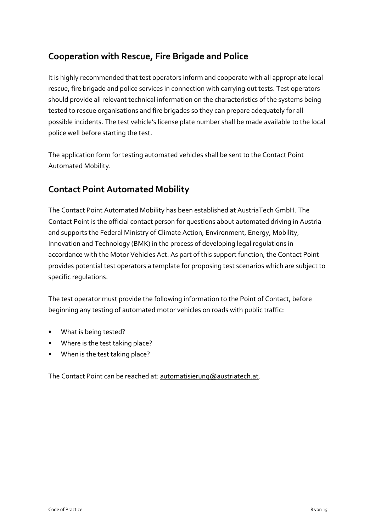### <span id="page-7-0"></span>**Cooperation with Rescue, Fire Brigade and Police**

It is highly recommended that test operators inform and cooperate with all appropriate local rescue, fire brigade and police services in connection with carrying out tests. Test operators should provide all relevant technical information on the characteristics of the systems being tested to rescue organisations and fire brigades so they can prepare adequately for all possible incidents. The test vehicle's license plate number shall be made available to the local police well before starting the test.

The application form for testing automated vehicles shall be sent to the Contact Point Automated Mobility.

#### <span id="page-7-1"></span>**Contact Point Automated Mobility**

The Contact Point Automated Mobility has been established at AustriaTech GmbH. The Contact Point is the official contact person for questions about automated driving in Austria and supports the Federal Ministry of Climate Action, Environment, Energy, Mobility, Innovation and Technology (BMK) in the process of developing legal regulations in accordance with the Motor Vehicles Act. As part of this support function, the Contact Point provides potential test operators a template for proposing test scenarios which are subject to specific regulations.

The test operator must provide the following information to the Point of Contact, before beginning any testing of automated motor vehicles on roads with public traffic:

- What is being tested?
- Where is the test taking place?
- When is the test taking place?

The Contact Point can be reached at[: automatisierung@austriatech.at.](mailto:automatisierung@austriatech.at)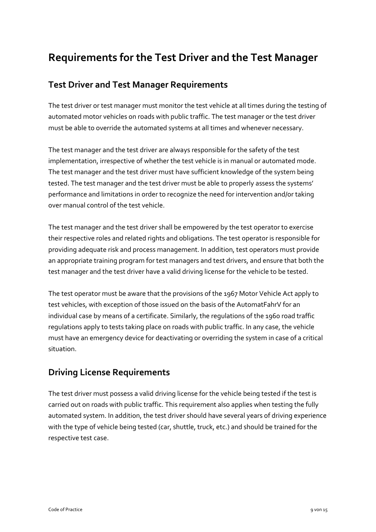# <span id="page-8-0"></span>**Requirements for the Test Driver and the Test Manager**

#### <span id="page-8-1"></span>**Test Driver and Test Manager Requirements**

The test driver or test manager must monitor the test vehicle at all times during the testing of automated motor vehicles on roads with public traffic. The test manager or the test driver must be able to override the automated systems at all times and whenever necessary.

The test manager and the test driver are always responsible for the safety of the test implementation, irrespective of whether the test vehicle is in manual or automated mode. The test manager and the test driver must have sufficient knowledge of the system being tested. The test manager and the test driver must be able to properly assess the systems' performance and limitations in order to recognize the need for intervention and/or taking over manual control of the test vehicle.

The test manager and the test driver shall be empowered by the test operator to exercise their respective roles and related rights and obligations. The test operator is responsible for providing adequate risk and process management. In addition, test operators must provide an appropriate training program for test managers and test drivers, and ensure that both the test manager and the test driver have a valid driving license for the vehicle to be tested.

The test operator must be aware that the provisions of the 1967 Motor Vehicle Act apply to test vehicles, with exception of those issued on the basis of the AutomatFahrV for an individual case by means of a certificate. Similarly, the regulations of the 1960 road traffic regulations apply to tests taking place on roads with public traffic. In any case, the vehicle must have an emergency device for deactivating or overriding the system in case of a critical situation.

### <span id="page-8-2"></span>**Driving License Requirements**

The test driver must possess a valid driving license for the vehicle being tested if the test is carried out on roads with public traffic. This requirement also applies when testing the fully automated system. In addition, the test driver should have several years of driving experience with the type of vehicle being tested (car, shuttle, truck, etc.) and should be trained for the respective test case.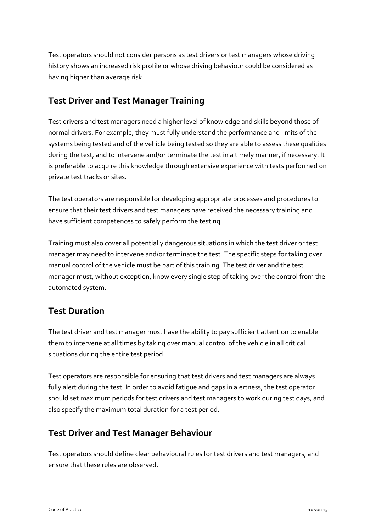Test operators should not consider persons as test drivers or test managers whose driving history shows an increased risk profile or whose driving behaviour could be considered as having higher than average risk.

#### <span id="page-9-0"></span>**Test Driver and Test Manager Training**

Test drivers and test managers need a higher level of knowledge and skills beyond those of normal drivers. For example, they must fully understand the performance and limits of the systems being tested and of the vehicle being tested so they are able to assess these qualities during the test, and to intervene and/or terminate the test in a timely manner, if necessary. It is preferable to acquire this knowledge through extensive experience with tests performed on private test tracks or sites.

The test operators are responsible for developing appropriate processes and procedures to ensure that their test drivers and test managers have received the necessary training and have sufficient competences to safely perform the testing.

Training must also cover all potentially dangerous situations in which the test driver or test manager may need to intervene and/or terminate the test. The specific steps for taking over manual control of the vehicle must be part of this training. The test driver and the test manager must, without exception, know every single step of taking over the control from the automated system.

### <span id="page-9-1"></span>**Test Duration**

The test driver and test manager must have the ability to pay sufficient attention to enable them to intervene at all times by taking over manual control of the vehicle in all critical situations during the entire test period.

Test operators are responsible for ensuring that test drivers and test managers are always fully alert during the test. In order to avoid fatigue and gaps in alertness, the test operator should set maximum periods for test drivers and test managers to work during test days, and also specify the maximum total duration for a test period.

#### <span id="page-9-2"></span>**Test Driver and Test Manager Behaviour**

Test operators should define clear behavioural rules for test drivers and test managers, and ensure that these rules are observed.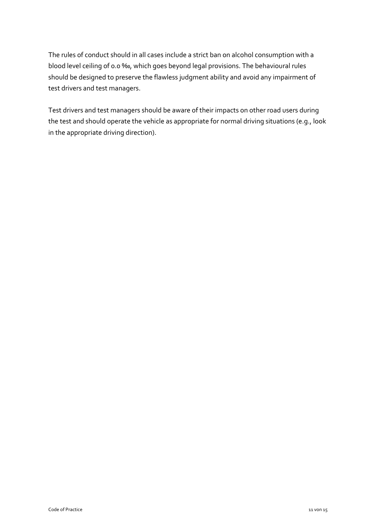The rules of conduct should in all cases include a strict ban on alcohol consumption with a blood level ceiling of 0.0 ‰, which goes beyond legal provisions. The behavioural rules should be designed to preserve the flawless judgment ability and avoid any impairment of test drivers and test managers.

Test drivers and test managers should be aware of their impacts on other road users during the test and should operate the vehicle as appropriate for normal driving situations (e.g., look in the appropriate driving direction).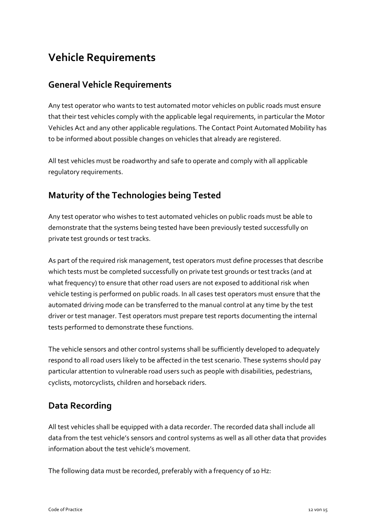# <span id="page-11-0"></span>**Vehicle Requirements**

#### <span id="page-11-1"></span>**General Vehicle Requirements**

Any test operator who wants to test automated motor vehicles on public roads must ensure that their test vehicles comply with the applicable legal requirements, in particular the Motor Vehicles Act and any other applicable regulations. The Contact Point Automated Mobility has to be informed about possible changes on vehicles that already are registered.

All test vehicles must be roadworthy and safe to operate and comply with all applicable regulatory requirements.

### <span id="page-11-2"></span>**Maturity of the Technologies being Tested**

Any test operator who wishes to test automated vehicles on public roads must be able to demonstrate that the systems being tested have been previously tested successfully on private test grounds or test tracks.

As part of the required risk management, test operators must define processes that describe which tests must be completed successfully on private test grounds or test tracks (and at what frequency) to ensure that other road users are not exposed to additional risk when vehicle testing is performed on public roads. In all cases test operators must ensure that the automated driving mode can be transferred to the manual control at any time by the test driver or test manager. Test operators must prepare test reports documenting the internal tests performed to demonstrate these functions.

The vehicle sensors and other control systems shall be sufficiently developed to adequately respond to all road users likely to be affected in the test scenario. These systems should pay particular attention to vulnerable road users such as people with disabilities, pedestrians, cyclists, motorcyclists, children and horseback riders.

### <span id="page-11-3"></span>**Data Recording**

All test vehicles shall be equipped with a data recorder. The recorded data shall include all data from the test vehicle's sensors and control systems as well as all other data that provides information about the test vehicle's movement.

The following data must be recorded, preferably with a frequency of 10 Hz: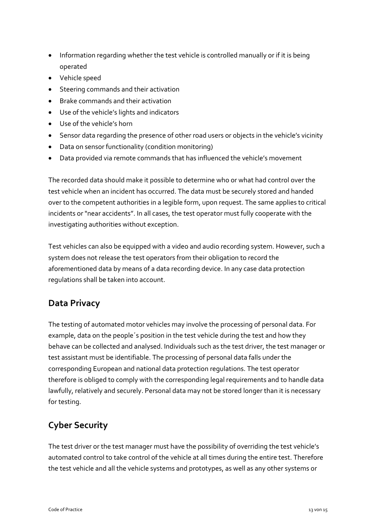- Information regarding whether the test vehicle is controlled manually or if it is being operated
- Vehicle speed
- Steering commands and their activation
- Brake commands and their activation
- Use of the vehicle's lights and indicators
- Use of the vehicle's horn
- Sensor data regarding the presence of other road users or objects in the vehicle's vicinity
- Data on sensor functionality (condition monitoring)
- Data provided via remote commands that has influenced the vehicle's movement

The recorded data should make it possible to determine who or what had control over the test vehicle when an incident has occurred. The data must be securely stored and handed over to the competent authorities in a legible form, upon request. The same applies to critical incidents or "near accidents". In all cases, the test operator must fully cooperate with the investigating authorities without exception.

Test vehicles can also be equipped with a video and audio recording system. However, such a system does not release the test operators from their obligation to record the aforementioned data by means of a data recording device. In any case data protection regulations shall be taken into account.

#### <span id="page-12-0"></span>**Data Privacy**

The testing of automated motor vehicles may involve the processing of personal data. For example, data on the people´s position in the test vehicle during the test and how they behave can be collected and analysed. Individuals such as the test driver, the test manager or test assistant must be identifiable. The processing of personal data falls under the corresponding European and national data protection regulations. The test operator therefore is obliged to comply with the corresponding legal requirements and to handle data lawfully, relatively and securely. Personal data may not be stored longer than it is necessary for testing.

### <span id="page-12-1"></span>**Cyber Security**

The test driver or the test manager must have the possibility of overriding the test vehicle's automated control to take control of the vehicle at all times during the entire test. Therefore the test vehicle and all the vehicle systems and prototypes, as well as any other systems or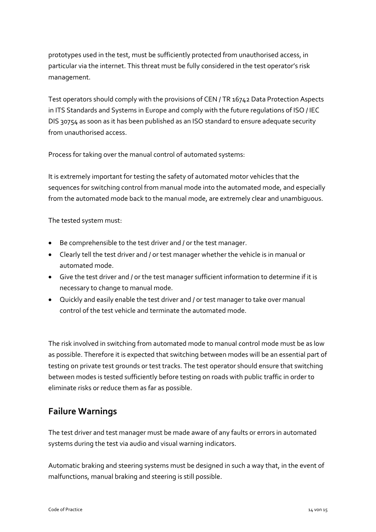prototypes used in the test, must be sufficiently protected from unauthorised access, in particular via the internet. This threat must be fully considered in the test operator's risk management.

Test operators should comply with the provisions of CEN / TR 16742 Data Protection Aspects in ITS Standards and Systems in Europe and comply with the future regulations of ISO / IEC DIS 30754 as soon as it has been published as an ISO standard to ensure adequate security from unauthorised access.

Process for taking over the manual control of automated systems:

It is extremely important for testing the safety of automated motor vehicles that the sequences for switching control from manual mode into the automated mode, and especially from the automated mode back to the manual mode, are extremely clear and unambiguous.

The tested system must:

- Be comprehensible to the test driver and / or the test manager.
- Clearly tell the test driver and / or test manager whether the vehicle is in manual or automated mode.
- Give the test driver and / or the test manager sufficient information to determine if it is necessary to change to manual mode.
- Quickly and easily enable the test driver and / or test manager to take over manual control of the test vehicle and terminate the automated mode.

The risk involved in switching from automated mode to manual control mode must be as low as possible. Therefore it is expected that switching between modes will be an essential part of testing on private test grounds or test tracks. The test operator should ensure that switching between modes is tested sufficiently before testing on roads with public traffic in order to eliminate risks or reduce them as far as possible.

#### <span id="page-13-0"></span>**Failure Warnings**

The test driver and test manager must be made aware of any faults or errors in automated systems during the test via audio and visual warning indicators.

Automatic braking and steering systems must be designed in such a way that, in the event of malfunctions, manual braking and steering is still possible.